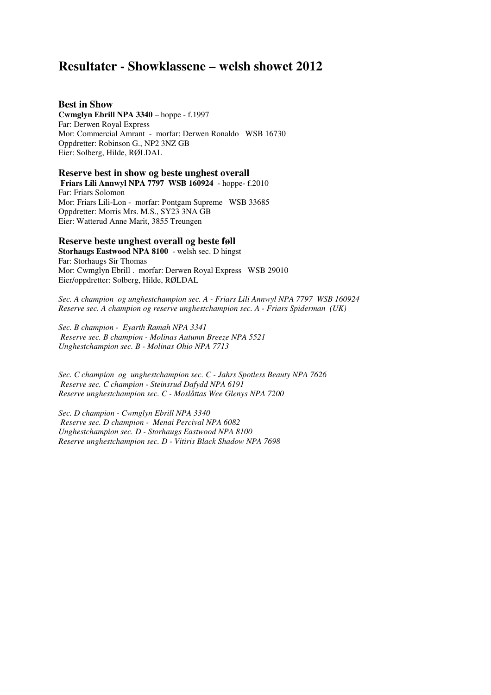# **Resultater - Showklassene – welsh showet 2012**

### **Best in Show**

**Cwmglyn Ebrill NPA 3340** – hoppe - f.1997 Far: Derwen Royal Express Mor: Commercial Amrant - morfar: Derwen Ronaldo WSB 16730 Oppdretter: Robinson G., NP2 3NZ GB Eier: Solberg, Hilde, RØLDAL

#### **Reserve best in show og beste unghest overall**

 **Friars Lili Annwyl NPA 7797 WSB 160924** - hoppe- f.2010 Far: Friars Solomon Mor: Friars Lili-Lon - morfar: Pontgam Supreme WSB 33685 Oppdretter: Morris Mrs. M.S., SY23 3NA GB Eier: Watterud Anne Marit, 3855 Treungen

# **Reserve beste unghest overall og beste føll**

**Storhaugs Eastwood NPA 8100** - welsh sec. D hingst Far: Storhaugs Sir Thomas Mor: Cwmglyn Ebrill . morfar: Derwen Royal Express WSB 29010 Eier/oppdretter: Solberg, Hilde, RØLDAL

*Sec. A champion og unghestchampion sec. A - Friars Lili Annwyl NPA 7797 WSB 160924 Reserve sec. A champion og reserve unghestchampion sec. A - Friars Spiderman (UK)* 

*Sec. B champion - Eyarth Ramah NPA 3341 Reserve sec. B champion - Molinas Autumn Breeze NPA 5521 Unghestchampion sec. B - Molinas Ohio NPA 7713* 

*Sec. C champion og unghestchampion sec. C - Jahrs Spotless Beauty NPA 7626 Reserve sec. C champion - Steinsrud Dafydd NPA 6191 Reserve unghestchampion sec. C - Moslåttas Wee Glenys NPA 7200* 

*Sec. D champion - Cwmglyn Ebrill NPA 3340 Reserve sec. D champion - Menai Percival NPA 6082 Unghestchampion sec. D - Storhaugs Eastwood NPA 8100 Reserve unghestchampion sec. D - Vitiris Black Shadow NPA 7698*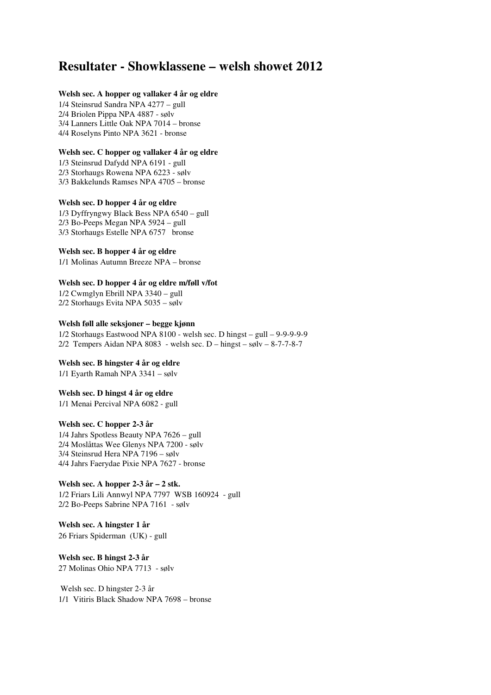# **Resultater - Showklassene – welsh showet 2012**

### **Welsh sec. A hopper og vallaker 4 år og eldre**

1/4 Steinsrud Sandra NPA 4277 – gull 2/4 Briolen Pippa NPA 4887 - sølv 3/4 Lanners Little Oak NPA 7014 – bronse 4/4 Roselyns Pinto NPA 3621 - bronse

#### **Welsh sec. C hopper og vallaker 4 år og eldre**

1/3 Steinsrud Dafydd NPA 6191 - gull 2/3 Storhaugs Rowena NPA 6223 - sølv 3/3 Bakkelunds Ramses NPA 4705 – bronse

#### **Welsh sec. D hopper 4 år og eldre**

1/3 Dyffryngwy Black Bess NPA 6540 – gull 2/3 Bo-Peeps Megan NPA 5924 – gull 3/3 Storhaugs Estelle NPA 6757 bronse

# **Welsh sec. B hopper 4 år og eldre**

1/1 Molinas Autumn Breeze NPA – bronse

#### **Welsh sec. D hopper 4 år og eldre m/føll v/fot**

1/2 Cwmglyn Ebrill NPA 3340 – gull 2/2 Storhaugs Evita NPA 5035 – sølv

#### **Welsh føll alle seksjoner – begge kjønn**

1/2 Storhaugs Eastwood NPA 8100 - welsh sec. D hingst – gull – 9-9-9-9-9 2/2 Tempers Aidan NPA 8083 - welsh sec. D – hingst – sølv – 8-7-7-8-7

#### **Welsh sec. B hingster 4 år og eldre**

1/1 Eyarth Ramah NPA 3341 – sølv

# **Welsh sec. D hingst 4 år og eldre**

1/1 Menai Percival NPA 6082 - gull

#### **Welsh sec. C hopper 2-3 år**

1/4 Jahrs Spotless Beauty NPA 7626 – gull 2/4 Moslåttas Wee Glenys NPA 7200 - sølv 3/4 Steinsrud Hera NPA 7196 – sølv 4/4 Jahrs Faerydae Pixie NPA 7627 - bronse

### **Welsh sec. A hopper 2-3 år – 2 stk.**  1/2 Friars Lili Annwyl NPA 7797 WSB 160924 - gull 2/2 Bo-Peeps Sabrine NPA 7161 - sølv

**Welsh sec. A hingster 1 år**  26 Friars Spiderman (UK) - gull

# **Welsh sec. B hingst 2-3 år**  27 Molinas Ohio NPA 7713 - sølv

 Welsh sec. D hingster 2-3 år 1/1 Vitiris Black Shadow NPA 7698 – bronse